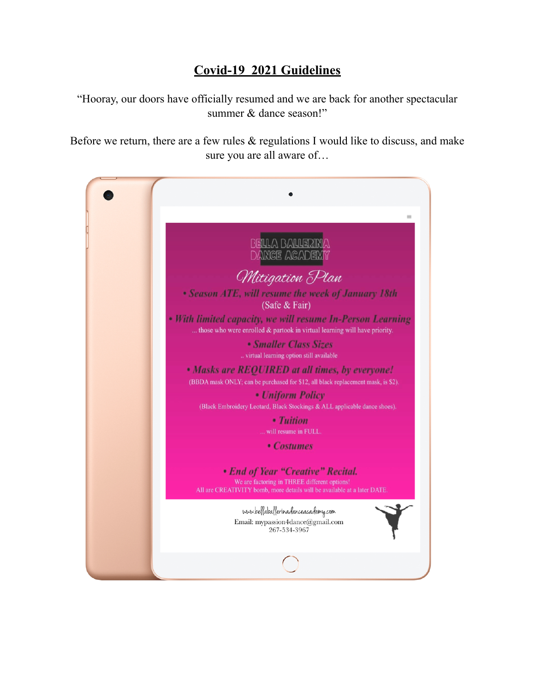## **Covid-19 2021 Guidelines**

"Hooray, our doors have officially resumed and we are back for another spectacular summer & dance season!"

Before we return, there are a few rules  $\&$  regulations I would like to discuss, and make sure you are all aware of…